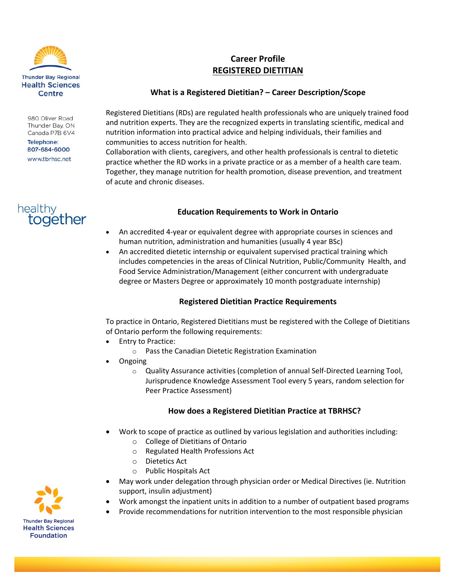

980 Oliver Road Thunder Bay, ON Canada P7B 6V4

Telephone: 807-684-6000 www.tbrhsc.net



# **Career Profile REGISTERED DIETITIAN**

## **What is a Registered Dietitian? – Career Description/Scope**

Registered Dietitians (RDs) are regulated health professionals who are uniquely trained food and nutrition experts. They are the recognized experts in translating scientific, medical and nutrition information into practical advice and helping individuals, their families and communities to access nutrition for health.

Collaboration with clients, caregivers, and other health professionals is central to dietetic practice whether the RD works in a private practice or as a member of a health care team. Together, they manage nutrition for health promotion, disease prevention, and treatment of acute and chronic diseases.

## **Education Requirements to Work in Ontario**

- An accredited 4-year or equivalent degree with appropriate courses in sciences and human nutrition, administration and humanities (usually 4 year BSc)
- An accredited dietetic internship or equivalent supervised practical training which includes competencies in the areas of Clinical Nutrition, Public/Community Health, and Food Service Administration/Management (either concurrent with undergraduate degree or Masters Degree or approximately 10 month postgraduate internship)

## **Registered Dietitian Practice Requirements**

To practice in Ontario, Registered Dietitians must be registered with the College of Dietitians of Ontario perform the following requirements:

- Entry to Practice:
	- o Pass the Canadian Dietetic Registration Examination
- Ongoing
	- o Quality Assurance activities (completion of annual Self-Directed Learning Tool, Jurisprudence Knowledge Assessment Tool every 5 years, random selection for Peer Practice Assessment)

## **How does a Registered Dietitian Practice at TBRHSC?**

- Work to scope of practice as outlined by various legislation and authorities including:
	- o College of Dietitians of Ontario
	- o Regulated Health Professions Act
	- o Dietetics Act
	- o Public Hospitals Act
- May work under delegation through physician order or Medical Directives (ie. Nutrition support, insulin adjustment)
- Work amongst the inpatient units in addition to a number of outpatient based programs
- Provide recommendations for nutrition intervention to the most responsible physician